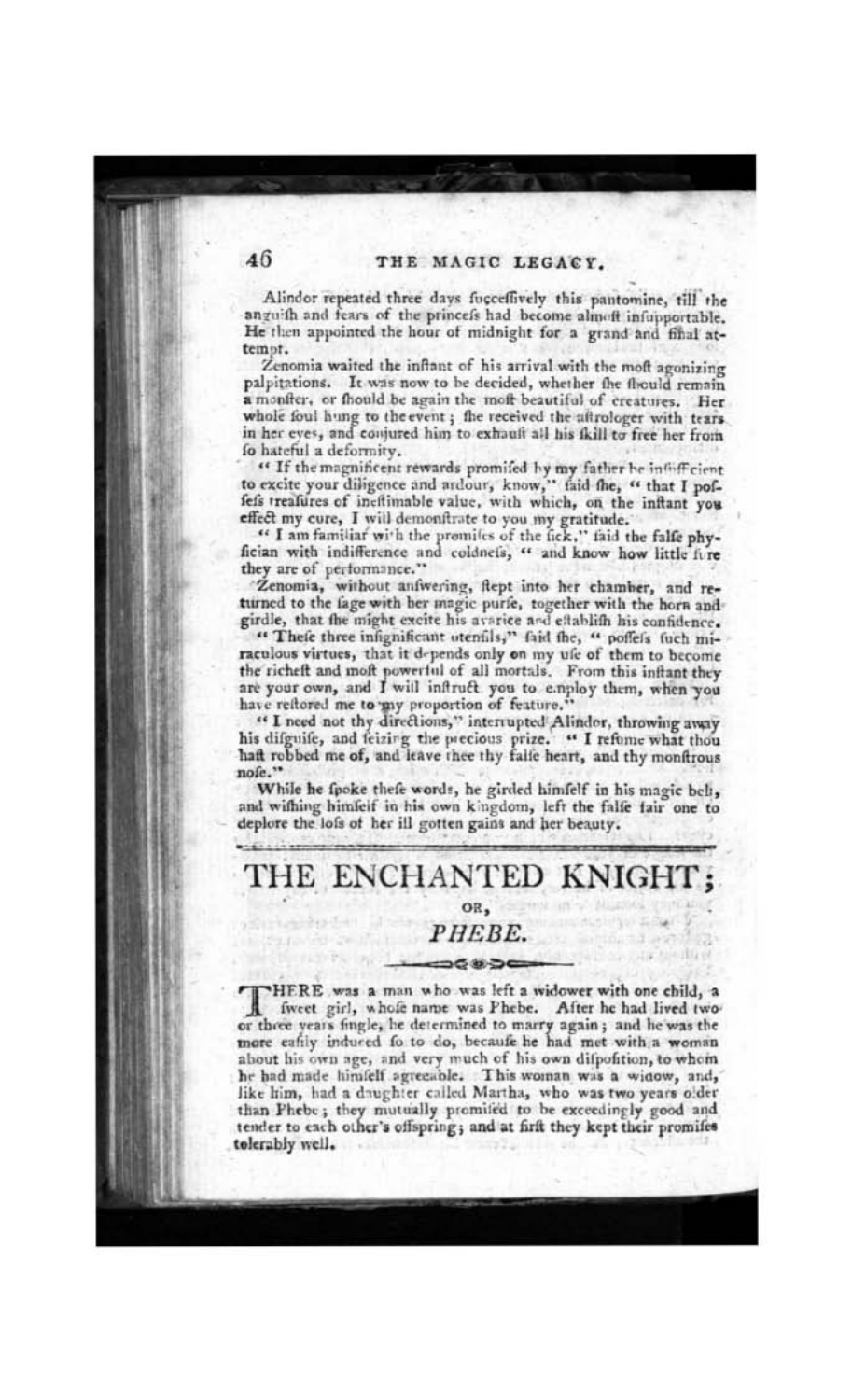Alindor repeated three days fucceffively this pantomine, till the anguith and fears of the princefs had become almoft infupportable. He then appointed the hour of midnight for a grand and final attempt.

Zenomia waited the inflant of his arrival with the moft agonizing palpitations. It was now to be decided, whether the fliculd remain a moniter, or fhould be again the moft beautiful of creatures. Her whole foul hung to the event; the received the aftrologer with tears. in her eves, and conjured him to exhauft all his fkill to free her from fo hateful a deformity.

" If the magnificent rewards promifed by my father he infiff cient to excite your diligence and ardour, know," faid the, " that I poffefs treafures of incitimable value, with which, on the inftant you effect my cure, I will demonitrate to you my gratitude.

" I am familiar with the premiles of the fick," faid the falle phyfician with indifference and coldnets, " and know how little fire they are of performance."

'Zenomia, without aniwering, flept into her chamber, and returned to the fage with her magic purfe, together with the horn andgirdle, that the might excite his avarice and establish his confidence.

" Thefe three infignificant utenfils," faid the, " poffels fuch miraculous virtues, that it depends only on my ufe of them to become the richeft and moft powerful of all mortals. From this inftant they are your own, and I will infruct you to employ them, when you have reitored me to my proportion of feature."

"I need not thy directions," interrupted Alindor, throwing away his difguife, and feizing the precious prize. " I refume what thou haft robbed me of, and leave thee thy falle heart, and thy monftrous nofe."

While he fpoke thefe words, he girded himfelf in his magic beli, and withing himfeif in his own kingdom, left the falle fair one to deplore the lofs of her ill gotten gains and her beauty.

## THE ENCHANTED KNIGHT; OR, PHEBE. == 6 # 5

HERE was a man who was left a widower with one child, a I fweet girl, whofe name was Phebe. After he had lived twoor three years fingle, he determined to marry again; and he was the more eafily induced fo to do, because he had met with a woman about his own age, and very much of his own difponition, to whem he had made himfelf agreeable. This woman was a widow, and, like him, had a drughter called Martha, who was two years older than Phebe; they mutually promifed to be exceedingly good and tender to each other's offspring; and at firft they kept their promifes tolerably well.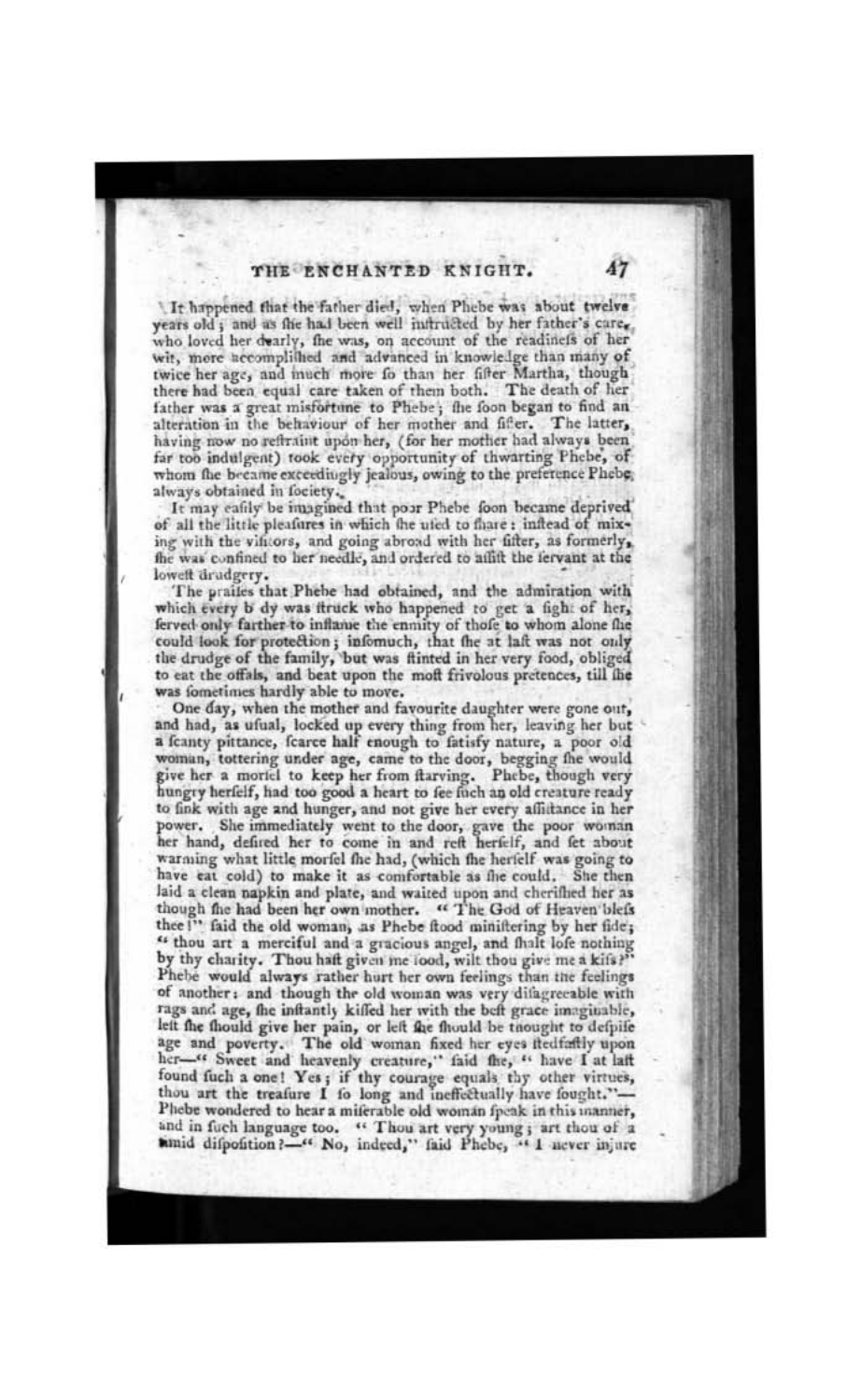It happened that the father died, when Phebe was about twelve vears old ; and as flie had been well infructed by her father's care, who loved her dearly, the was, on account of the readinets of her wit, more accomplished and advanced in knowledge than many of twice her age, and much more fo than her fifter Martha, though there had been equal care taken of them both. The death of her father was a great misfortune to Phebe; the foon began to find an alteration in the behaviour of her mother and fifer. The latter, having now no reftraint upon her, (for her mother had always been far too indulgent) took every opportunity of thwarting Phebe, of whom the became exceedingly jealous, owing to the preference Phebe,

always obtained in fociety.<br>It may eafily be imagined that poor Phebe foon became deprived of all the little pleafures in which the uted to fhare: inflead of mixing with the vintors, and going abroad with her fifter, as formerly, the was confined to her needle, and ordered to ailift the iervant at the loweft drudgery.

The prailes that Phebe had obtained, and the admiration with which every b dy was ftruck who happened to get a fight of her, ferved only farther to inflame the enmity of thofe to whom alone fhe could look for protection; infomuch, that the at laft was not only the drudge of the family, but was flinted in her very food, obliged to eat the offals, and beat upon the moft frivolous pretences, till the was fometimes hardly able to move.

One day, when the mother and favourite daughter were gone out, and had, as ufual, locked up every thing from her, leaving her but a feanty pittance, fearce half enough to fatisfy nature, a poor old woman, tottering under age, came to the door, begging the would give her a moriel to keep her from ftarving. Phebe, though very hungry herfelf, had too good a heart to fee fuch an old creature ready to fink with age and hunger, and not give her every affittance in her power. She immediately went to the door, gave the poor woman her hand, defired her to come in and reft herfelf, and fet about warming what little morfel fhe had, (which the herfelf was going to have eat cold) to make it as comfortable as the could. She then laid a clean napkin and plate, and waited upon and cherifhed her as though the had been her own mother. " The God of Heaven blefs thee!" faid the old woman, as Phebe ftood miniftering by her fide; " thou art a merciful and a gracious angel, and that lofe nothing<br>by thy charity. Thou haft given me lood, wilt thou give me a kifs?" Phebe would always rather hurt her own feelings than the feelings of another: and though the old woman was very difagreeable with rags and age, the inftantly kiffed her with the beft grace imaginable, left the fhould give her pain, or left the fhould be thought to defpife age and poverty. The old woman fixed her eyes itedfatily upon her-" Sweet and heavenly creature," faid the, " have I at laft found fuch a one! Yes; if thy courage equals thy other virtues, thou art the treafure I fo long and ineffectually have fought."-Phebe wondered to hear a miferable old woman fpeak in this manner, and in fuch language too. " Thou art very young; art thou of a timid difpofition?-" No, indeed," faid Phebe, " I never injure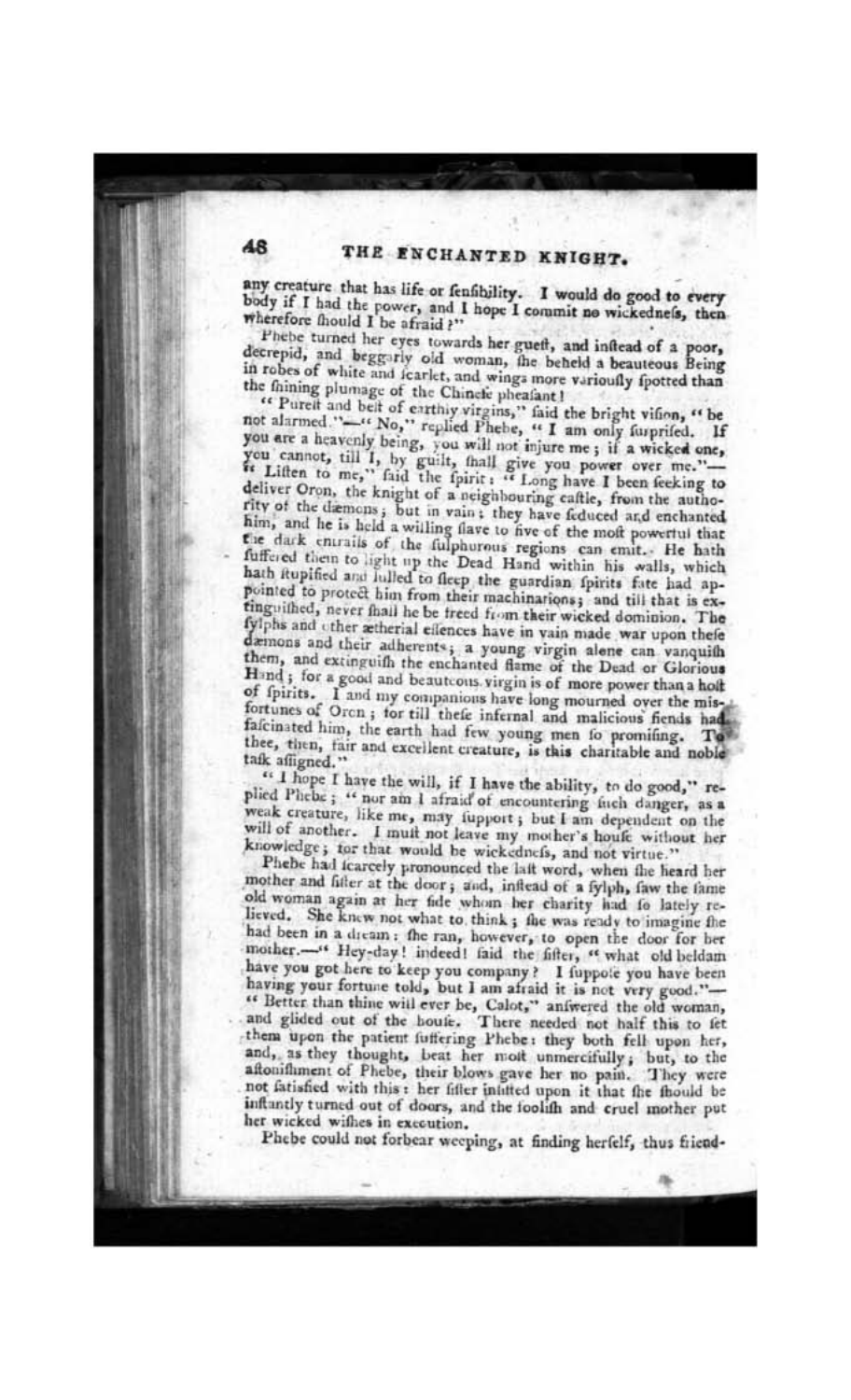any creature that has life or fenfibility. I would do good to every body if I had the power, and I hope I commit no wickedness, then wherefore fhould I be afraid?"

Phebe turned her eyes towards her gueff, and inflead of a poor, decrepid, and beggarly old woman, the beheld a beauteous Being in robes of white and fcarlet, and wings more varioufly fpotted than the faining plumage of the Chinete pheafant!

" Purelt and belt of earthly virgins," faid the bright vifion, " be not alarmed."-" No," replied Phebe, " I am only furprifed. If you are a heavenly being, you will not injure me; if a wicked one, you cannot, till I, by guilt, thall give you power over me."is Liften to me," faid the fpirit : " Long have I been feeking to deliver Oron, the knight of a neighbouring caftle, from the authority of the diemons; but in vain; they have feduced and enchanted him, and he is held a willing flave to five of the moft powertul that the dark entrails of the fulphorous regions can emit. He hath fuffered them to light up the Dead Hand within his walls, which hath itupified and fulled to fleep the guardian fpirits fate had appointed to protect him from their machinarions; and till that is extinguithed, never fhail he be treed from their wicked dominion. The fylphs and other ætherial effences have in vain made war upon thefe dæmons and their adherents; a young virgin alene can vanquith them, and extinguith the enchanted flame of the Dead or Glorious Hand; for a good and beauteous virgin is of more power than a holt of fpirits. I and my companions have long mourned over the misfortunes of Orcn; for till thefe infernal and malicious fiends had fafcinated him, the earth had few young men to promifing. To thee, then, fair and excellent creature, is this charitable and noble tafk affigned."

" I hope I have the will, if I have the ability, to do good," replied Phebe; " nor ain I afraid of encountering fuch danger, as a weak creature, like me, may jupport; but I am dependent on the will of another. I muit not leave my mother's houfe without her knowledge; tor that would be wickednefs, and not virtue."

Phebe had icarcely pronounced the laft word, when the heard her mother and filter at the door; and, inflead of a fylph, faw the fame old woman again at her fide whom her charity had fo lately relieved. She knew not what to think; the was ready to imagine the had been in a dream: the ran, however, to open the door for ber mother.-' Hey-day! indeed! faid the fifter, " what old beldam have you got here to keep you company? I fuppole you have been having your fortune told, but I am afraid it is not very good."-" Better than thine will ever be, Calot," aniwered the old woman, and glided out of the houfe. There needed not half this to fet them upon the patient fuffering Phebe: they both fell upon her, and, as they thought, beat her molt unmercifully; but, to the aftonifhment of Phebe, their blows gave her no pain. They were not fatisfied with this : her fifter inlitted upon it that the fhould be inftantly turned out of doors, and the toolifh and cruel mother put her wicked wifhes in execution.

Phebe could not forbear weeping, at finding herfelf, thus friend-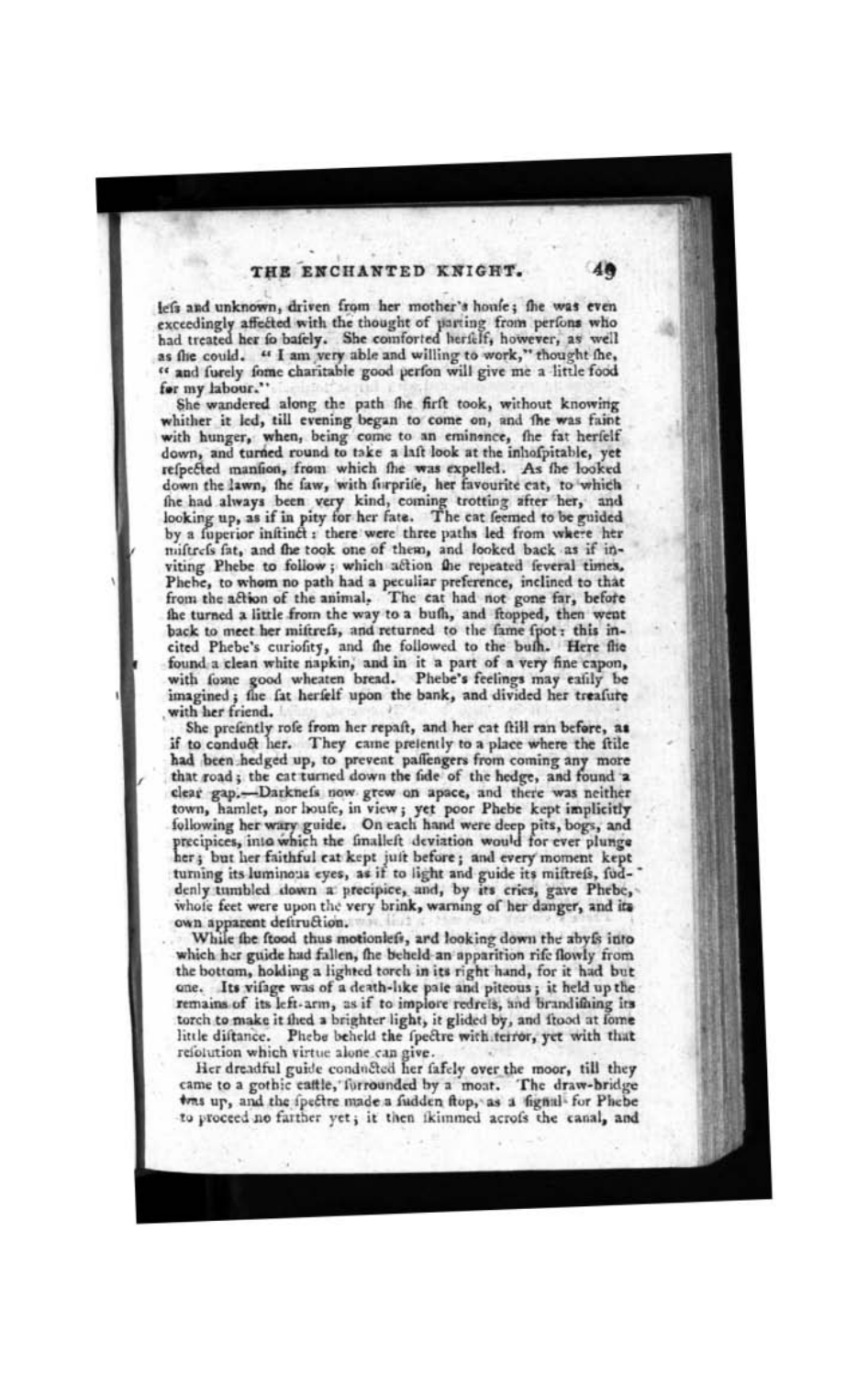lefs and unknown, driven from her mother's houfe; the was even exceedingly affected with the thought of uarting from perfons who had treated her fo bafely. She comforted herfelf, however, as well as the could. "I am very able and willing to work," thought the, " and furely fome charitable good perfon will give me a little food for my labour."

She wandered along the path fhe firft took, without knowing whither it led, till evening began to come on, and the was faint with hunger, when, being come to an eminence, the fat herfelf down, and turned round to take a laft look at the inhofpitable, yet refpected mantion, from which the was expelled. As the looked down the lawn, the faw, with forprife, her favourite cat, to which the had always been very kind, coming trotting after her, and looking up, as if in pity for her fate. The cat feemed to be guided by a fuperior initiact: there were three paths led from where her miftrefs fat, and the took one of them, and looked back as if inviting Phebe to follow; which action the repeated feveral times, Phebe, to whom no path had a peculiar preference, inclined to that from the action of the animal. The cat had not gone far, before the turned a little from the way to a bufh, and ftopped, then went back to meet her mittrefs, and returned to the fame fpot: this incited Phebe's curiofity, and the followed to the buth. Here flie found a clean white napkin, and in it a part of a very fine capon, with fome good wheaten bread. Phebe's feelings may eatily be imagined; the fat herfelf upon the bank, and divided her treafure with her friend.

She prefently rofe from her repaft, and her cat ftill ran before, as if to conduct her. They came pretently to a place where the ftile had been hedged up, to prevent paffengers from coming any more that road; the cat turned down the fide of the hedge, and found a clear gap.-Darknefs now grew on apace, and there was neither town, hamlet, nor houfe, in view; yet poor Phebe kept implicitly following her wary guide. On each hand were deep pits, bogs, and precipices, into which the finalleft deviation would for ever plunge her; but her faithful cat kept juit before; and every moment kept turning its luminous eyes, as if to light and guide its miftrefs, fuddenly tumbled down a precipice, and, by its cries, gave Phebe, whole feet were upon the very brink, warning of her danger, and its own apparent defiruction.

While the ftood thus motionlefs, ard looking down the abyfs into which her guide had fallen, the beheld-an apparition rife flowly from the bottom, holding a lighted torch in its right hand, for it had but one. Its vifage was of a death-like pale and piteous; it held up the remains of its left-arm, as if to implore redrets, and brandifaing its torch to make it thed a brighter light, it glided by, and flood at fome little diftance. Phebe beheld the fpectre with terror, yet with that reiolution which virtue alone can give.

Her dreadful guide conducted her fafely over the moor, till they came to a gothic cattle, forrounded by a moat. The draw-bridge tens up, and the ipectre made a fudden ftop, as a figual- for Phebe to proceed no farther yet; it then ikimmed acrofs the canal, and